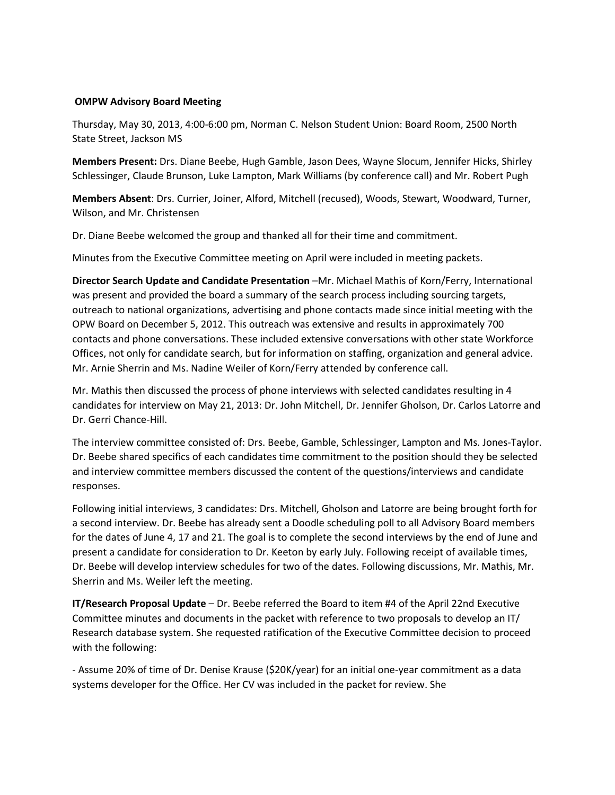## **OMPW Advisory Board Meeting**

Thursday, May 30, 2013, 4:00-6:00 pm, Norman C. Nelson Student Union: Board Room, 2500 North State Street, Jackson MS

**Members Present:** Drs. Diane Beebe, Hugh Gamble, Jason Dees, Wayne Slocum, Jennifer Hicks, Shirley Schlessinger, Claude Brunson, Luke Lampton, Mark Williams (by conference call) and Mr. Robert Pugh

**Members Absent**: Drs. Currier, Joiner, Alford, Mitchell (recused), Woods, Stewart, Woodward, Turner, Wilson, and Mr. Christensen

Dr. Diane Beebe welcomed the group and thanked all for their time and commitment.

Minutes from the Executive Committee meeting on April were included in meeting packets.

**Director Search Update and Candidate Presentation** –Mr. Michael Mathis of Korn/Ferry, International was present and provided the board a summary of the search process including sourcing targets, outreach to national organizations, advertising and phone contacts made since initial meeting with the OPW Board on December 5, 2012. This outreach was extensive and results in approximately 700 contacts and phone conversations. These included extensive conversations with other state Workforce Offices, not only for candidate search, but for information on staffing, organization and general advice. Mr. Arnie Sherrin and Ms. Nadine Weiler of Korn/Ferry attended by conference call.

Mr. Mathis then discussed the process of phone interviews with selected candidates resulting in 4 candidates for interview on May 21, 2013: Dr. John Mitchell, Dr. Jennifer Gholson, Dr. Carlos Latorre and Dr. Gerri Chance-Hill.

The interview committee consisted of: Drs. Beebe, Gamble, Schlessinger, Lampton and Ms. Jones-Taylor. Dr. Beebe shared specifics of each candidates time commitment to the position should they be selected and interview committee members discussed the content of the questions/interviews and candidate responses.

Following initial interviews, 3 candidates: Drs. Mitchell, Gholson and Latorre are being brought forth for a second interview. Dr. Beebe has already sent a Doodle scheduling poll to all Advisory Board members for the dates of June 4, 17 and 21. The goal is to complete the second interviews by the end of June and present a candidate for consideration to Dr. Keeton by early July. Following receipt of available times, Dr. Beebe will develop interview schedules for two of the dates. Following discussions, Mr. Mathis, Mr. Sherrin and Ms. Weiler left the meeting.

**IT/Research Proposal Update** – Dr. Beebe referred the Board to item #4 of the April 22nd Executive Committee minutes and documents in the packet with reference to two proposals to develop an IT/ Research database system. She requested ratification of the Executive Committee decision to proceed with the following:

- Assume 20% of time of Dr. Denise Krause (\$20K/year) for an initial one-year commitment as a data systems developer for the Office. Her CV was included in the packet for review. She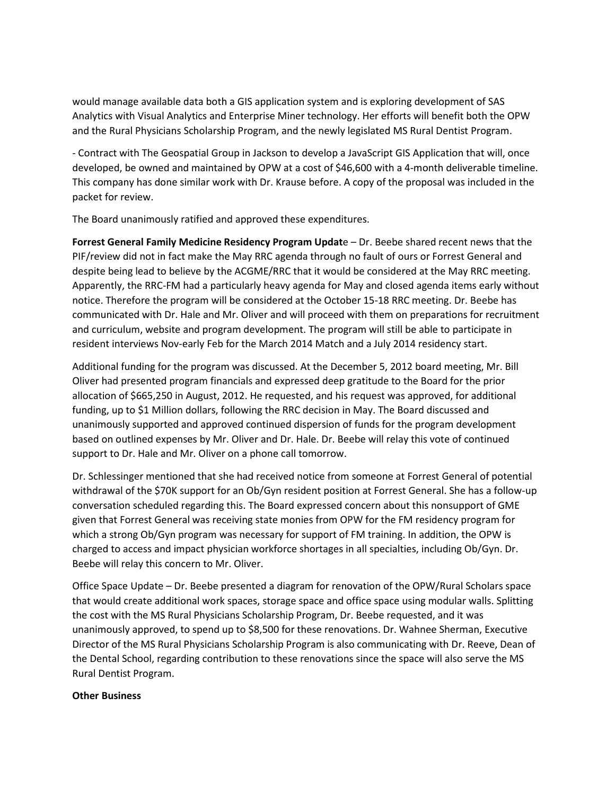would manage available data both a GIS application system and is exploring development of SAS Analytics with Visual Analytics and Enterprise Miner technology. Her efforts will benefit both the OPW and the Rural Physicians Scholarship Program, and the newly legislated MS Rural Dentist Program.

- Contract with The Geospatial Group in Jackson to develop a JavaScript GIS Application that will, once developed, be owned and maintained by OPW at a cost of \$46,600 with a 4-month deliverable timeline. This company has done similar work with Dr. Krause before. A copy of the proposal was included in the packet for review.

The Board unanimously ratified and approved these expenditures.

**Forrest General Family Medicine Residency Program Updat**e – Dr. Beebe shared recent news that the PIF/review did not in fact make the May RRC agenda through no fault of ours or Forrest General and despite being lead to believe by the ACGME/RRC that it would be considered at the May RRC meeting. Apparently, the RRC-FM had a particularly heavy agenda for May and closed agenda items early without notice. Therefore the program will be considered at the October 15-18 RRC meeting. Dr. Beebe has communicated with Dr. Hale and Mr. Oliver and will proceed with them on preparations for recruitment and curriculum, website and program development. The program will still be able to participate in resident interviews Nov-early Feb for the March 2014 Match and a July 2014 residency start.

Additional funding for the program was discussed. At the December 5, 2012 board meeting, Mr. Bill Oliver had presented program financials and expressed deep gratitude to the Board for the prior allocation of \$665,250 in August, 2012. He requested, and his request was approved, for additional funding, up to \$1 Million dollars, following the RRC decision in May. The Board discussed and unanimously supported and approved continued dispersion of funds for the program development based on outlined expenses by Mr. Oliver and Dr. Hale. Dr. Beebe will relay this vote of continued support to Dr. Hale and Mr. Oliver on a phone call tomorrow.

Dr. Schlessinger mentioned that she had received notice from someone at Forrest General of potential withdrawal of the \$70K support for an Ob/Gyn resident position at Forrest General. She has a follow-up conversation scheduled regarding this. The Board expressed concern about this nonsupport of GME given that Forrest General was receiving state monies from OPW for the FM residency program for which a strong Ob/Gyn program was necessary for support of FM training. In addition, the OPW is charged to access and impact physician workforce shortages in all specialties, including Ob/Gyn. Dr. Beebe will relay this concern to Mr. Oliver.

Office Space Update – Dr. Beebe presented a diagram for renovation of the OPW/Rural Scholars space that would create additional work spaces, storage space and office space using modular walls. Splitting the cost with the MS Rural Physicians Scholarship Program, Dr. Beebe requested, and it was unanimously approved, to spend up to \$8,500 for these renovations. Dr. Wahnee Sherman, Executive Director of the MS Rural Physicians Scholarship Program is also communicating with Dr. Reeve, Dean of the Dental School, regarding contribution to these renovations since the space will also serve the MS Rural Dentist Program.

## **Other Business**